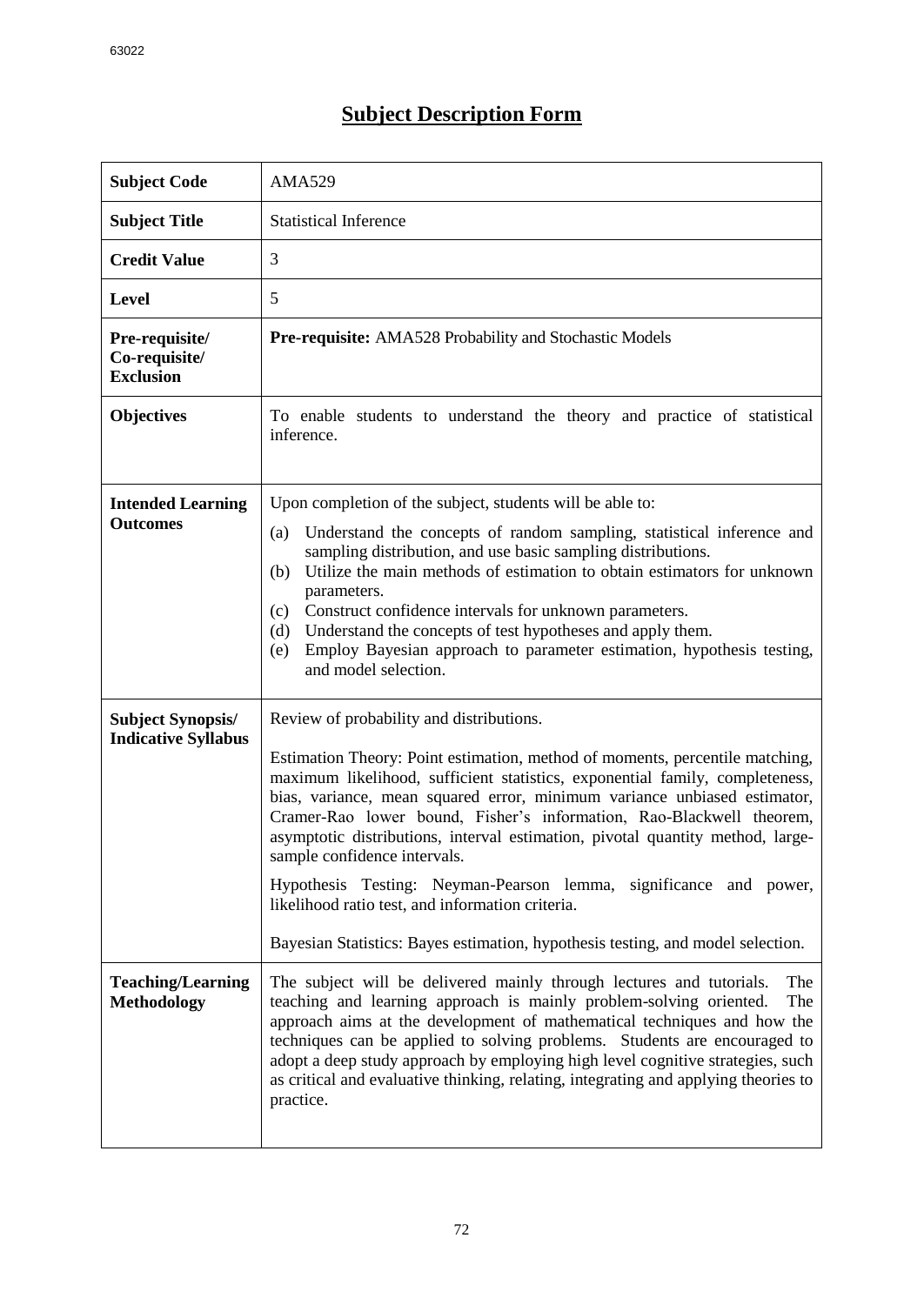## **Subject Description Form**

| <b>Subject Code</b>                                    | <b>AMA529</b>                                                                                                                                                                                                                                                                                                                                                                                                                                                                                                                                                                                                                                                                              |
|--------------------------------------------------------|--------------------------------------------------------------------------------------------------------------------------------------------------------------------------------------------------------------------------------------------------------------------------------------------------------------------------------------------------------------------------------------------------------------------------------------------------------------------------------------------------------------------------------------------------------------------------------------------------------------------------------------------------------------------------------------------|
| <b>Subject Title</b>                                   | <b>Statistical Inference</b>                                                                                                                                                                                                                                                                                                                                                                                                                                                                                                                                                                                                                                                               |
| <b>Credit Value</b>                                    | 3                                                                                                                                                                                                                                                                                                                                                                                                                                                                                                                                                                                                                                                                                          |
| <b>Level</b>                                           | 5                                                                                                                                                                                                                                                                                                                                                                                                                                                                                                                                                                                                                                                                                          |
| Pre-requisite/<br>Co-requisite/<br><b>Exclusion</b>    | <b>Pre-requisite:</b> AMA528 Probability and Stochastic Models                                                                                                                                                                                                                                                                                                                                                                                                                                                                                                                                                                                                                             |
| <b>Objectives</b>                                      | To enable students to understand the theory and practice of statistical<br>inference.                                                                                                                                                                                                                                                                                                                                                                                                                                                                                                                                                                                                      |
| <b>Intended Learning</b><br><b>Outcomes</b>            | Upon completion of the subject, students will be able to:<br>Understand the concepts of random sampling, statistical inference and<br>(a)<br>sampling distribution, and use basic sampling distributions.<br>Utilize the main methods of estimation to obtain estimators for unknown<br>(b)<br>parameters.<br>Construct confidence intervals for unknown parameters.<br>(c)<br>Understand the concepts of test hypotheses and apply them.<br>(d)<br>Employ Bayesian approach to parameter estimation, hypothesis testing,<br>(e)<br>and model selection.                                                                                                                                   |
| <b>Subject Synopsis/</b><br><b>Indicative Syllabus</b> | Review of probability and distributions.<br>Estimation Theory: Point estimation, method of moments, percentile matching,<br>maximum likelihood, sufficient statistics, exponential family, completeness,<br>bias, variance, mean squared error, minimum variance unbiased estimator,<br>Cramer-Rao lower bound, Fisher's information, Rao-Blackwell theorem,<br>asymptotic distributions, interval estimation, pivotal quantity method, large-<br>sample confidence intervals.<br>Hypothesis Testing: Neyman-Pearson lemma, significance and power,<br>likelihood ratio test, and information criteria.<br>Bayesian Statistics: Bayes estimation, hypothesis testing, and model selection. |
| <b>Teaching/Learning</b><br><b>Methodology</b>         | The subject will be delivered mainly through lectures and tutorials.<br>The<br>teaching and learning approach is mainly problem-solving oriented.<br>The<br>approach aims at the development of mathematical techniques and how the<br>techniques can be applied to solving problems. Students are encouraged to<br>adopt a deep study approach by employing high level cognitive strategies, such<br>as critical and evaluative thinking, relating, integrating and applying theories to<br>practice.                                                                                                                                                                                     |